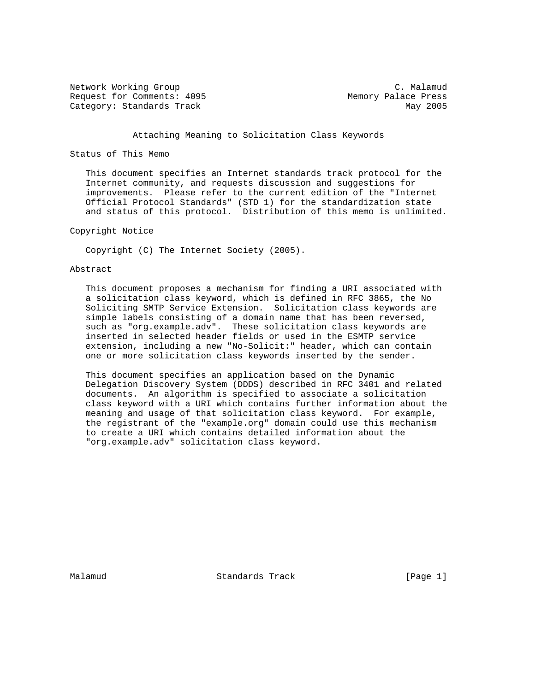Network Working Group C. Malamud C. Malamud Request for Comments: 4095 Memory Palace Press Category: Standards Track May 2005

#### Attaching Meaning to Solicitation Class Keywords

## Status of This Memo

 This document specifies an Internet standards track protocol for the Internet community, and requests discussion and suggestions for improvements. Please refer to the current edition of the "Internet Official Protocol Standards" (STD 1) for the standardization state and status of this protocol. Distribution of this memo is unlimited.

### Copyright Notice

Copyright (C) The Internet Society (2005).

#### Abstract

 This document proposes a mechanism for finding a URI associated with a solicitation class keyword, which is defined in RFC 3865, the No Soliciting SMTP Service Extension. Solicitation class keywords are simple labels consisting of a domain name that has been reversed, such as "org.example.adv". These solicitation class keywords are inserted in selected header fields or used in the ESMTP service extension, including a new "No-Solicit:" header, which can contain one or more solicitation class keywords inserted by the sender.

 This document specifies an application based on the Dynamic Delegation Discovery System (DDDS) described in RFC 3401 and related documents. An algorithm is specified to associate a solicitation class keyword with a URI which contains further information about the meaning and usage of that solicitation class keyword. For example, the registrant of the "example.org" domain could use this mechanism to create a URI which contains detailed information about the "org.example.adv" solicitation class keyword.

Malamud Standards Track [Page 1]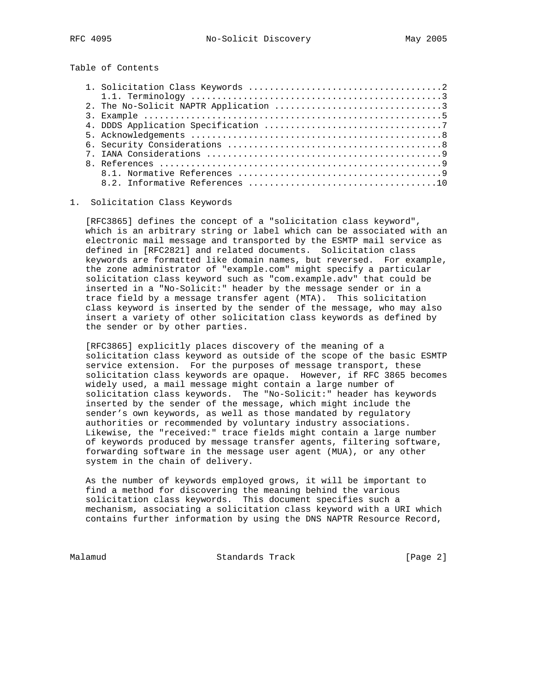Table of Contents

#### 1. Solicitation Class Keywords

 [RFC3865] defines the concept of a "solicitation class keyword", which is an arbitrary string or label which can be associated with an electronic mail message and transported by the ESMTP mail service as defined in [RFC2821] and related documents. Solicitation class keywords are formatted like domain names, but reversed. For example, the zone administrator of "example.com" might specify a particular solicitation class keyword such as "com.example.adv" that could be inserted in a "No-Solicit:" header by the message sender or in a trace field by a message transfer agent (MTA). This solicitation class keyword is inserted by the sender of the message, who may also insert a variety of other solicitation class keywords as defined by the sender or by other parties.

 [RFC3865] explicitly places discovery of the meaning of a solicitation class keyword as outside of the scope of the basic ESMTP service extension. For the purposes of message transport, these solicitation class keywords are opaque. However, if RFC 3865 becomes widely used, a mail message might contain a large number of solicitation class keywords. The "No-Solicit:" header has keywords inserted by the sender of the message, which might include the sender's own keywords, as well as those mandated by regulatory authorities or recommended by voluntary industry associations. Likewise, the "received:" trace fields might contain a large number of keywords produced by message transfer agents, filtering software, forwarding software in the message user agent (MUA), or any other system in the chain of delivery.

 As the number of keywords employed grows, it will be important to find a method for discovering the meaning behind the various solicitation class keywords. This document specifies such a mechanism, associating a solicitation class keyword with a URI which contains further information by using the DNS NAPTR Resource Record,

Malamud **Standards Track** [Page 2]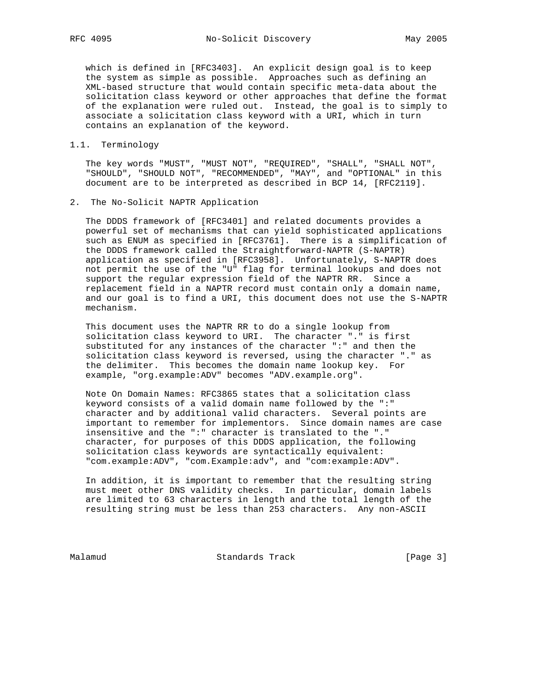which is defined in [RFC3403]. An explicit design goal is to keep the system as simple as possible. Approaches such as defining an XML-based structure that would contain specific meta-data about the solicitation class keyword or other approaches that define the format of the explanation were ruled out. Instead, the goal is to simply to associate a solicitation class keyword with a URI, which in turn contains an explanation of the keyword.

#### 1.1. Terminology

 The key words "MUST", "MUST NOT", "REQUIRED", "SHALL", "SHALL NOT", "SHOULD", "SHOULD NOT", "RECOMMENDED", "MAY", and "OPTIONAL" in this document are to be interpreted as described in BCP 14, [RFC2119].

2. The No-Solicit NAPTR Application

 The DDDS framework of [RFC3401] and related documents provides a powerful set of mechanisms that can yield sophisticated applications such as ENUM as specified in [RFC3761]. There is a simplification of the DDDS framework called the Straightforward-NAPTR (S-NAPTR) application as specified in [RFC3958]. Unfortunately, S-NAPTR does not permit the use of the "U" flag for terminal lookups and does not support the regular expression field of the NAPTR RR. Since a replacement field in a NAPTR record must contain only a domain name, and our goal is to find a URI, this document does not use the S-NAPTR mechanism.

 This document uses the NAPTR RR to do a single lookup from solicitation class keyword to URI. The character "." is first substituted for any instances of the character ":" and then the solicitation class keyword is reversed, using the character "." as the delimiter. This becomes the domain name lookup key. For example, "org.example:ADV" becomes "ADV.example.org".

 Note On Domain Names: RFC3865 states that a solicitation class keyword consists of a valid domain name followed by the ":" character and by additional valid characters. Several points are important to remember for implementors. Since domain names are case insensitive and the ":" character is translated to the "." character, for purposes of this DDDS application, the following solicitation class keywords are syntactically equivalent: "com.example:ADV", "com.Example:adv", and "com:example:ADV".

 In addition, it is important to remember that the resulting string must meet other DNS validity checks. In particular, domain labels are limited to 63 characters in length and the total length of the resulting string must be less than 253 characters. Any non-ASCII

Malamud Standards Track [Page 3]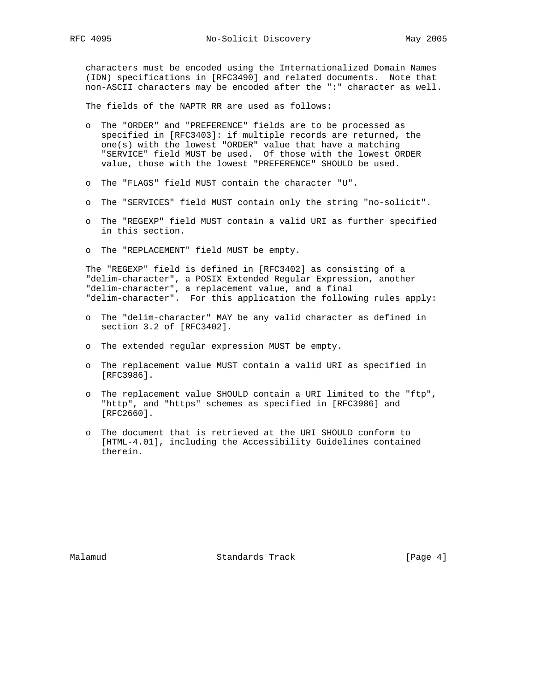characters must be encoded using the Internationalized Domain Names (IDN) specifications in [RFC3490] and related documents. Note that non-ASCII characters may be encoded after the ":" character as well.

The fields of the NAPTR RR are used as follows:

- o The "ORDER" and "PREFERENCE" fields are to be processed as specified in [RFC3403]: if multiple records are returned, the one(s) with the lowest "ORDER" value that have a matching "SERVICE" field MUST be used. Of those with the lowest ORDER value, those with the lowest "PREFERENCE" SHOULD be used.
- o The "FLAGS" field MUST contain the character "U".
- o The "SERVICES" field MUST contain only the string "no-solicit".
- o The "REGEXP" field MUST contain a valid URI as further specified in this section.
- o The "REPLACEMENT" field MUST be empty.

 The "REGEXP" field is defined in [RFC3402] as consisting of a "delim-character", a POSIX Extended Regular Expression, another "delim-character", a replacement value, and a final "delim-character". For this application the following rules apply:

- o The "delim-character" MAY be any valid character as defined in section 3.2 of [RFC3402].
- o The extended regular expression MUST be empty.
- o The replacement value MUST contain a valid URI as specified in [RFC3986].
- o The replacement value SHOULD contain a URI limited to the "ftp", "http", and "https" schemes as specified in [RFC3986] and [RFC2660].
- o The document that is retrieved at the URI SHOULD conform to [HTML-4.01], including the Accessibility Guidelines contained therein.

Malamud Standards Track [Page 4]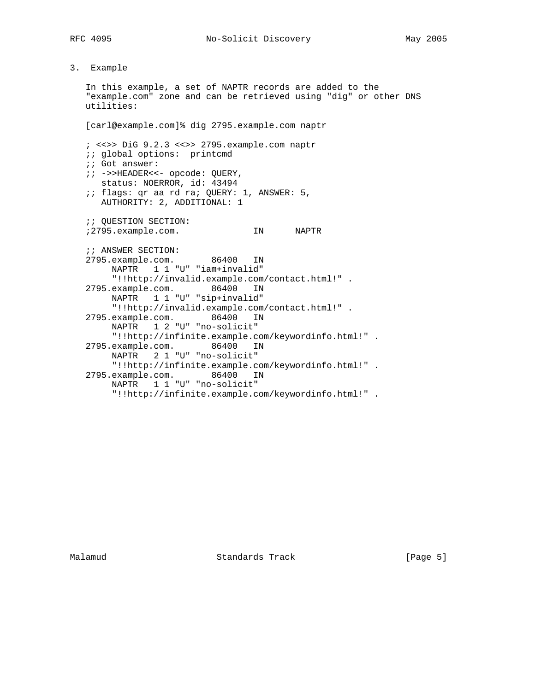# 3. Example

 In this example, a set of NAPTR records are added to the "example.com" zone and can be retrieved using "dig" or other DNS utilities: [carl@example.com]% dig 2795.example.com naptr ; <<>> DiG 9.2.3 <<>> 2795.example.com naptr ;; global options: printcmd ;; Got answer: ;; ->>HEADER<<- opcode: QUERY, status: NOERROR, id: 43494 ;; flags: qr aa rd ra; QUERY: 1, ANSWER: 5, AUTHORITY: 2, ADDITIONAL: 1 ;; QUESTION SECTION: ;2795.example.com. IN NAPTR ;; ANSWER SECTION: 2795.example.com. 86400 IN NAPTR 1 1 "U" "iam+invalid" "!!http://invalid.example.com/contact.html!" . 2795.example.com. 86400 IN NAPTR 1 1 "U" "sip+invalid" "!!http://invalid.example.com/contact.html!" . 2795.example.com. 86400 IN NAPTR 1 2 "U" "no-solicit" "!!http://infinite.example.com/keywordinfo.html!" . 2795.example.com. 86400 IN NAPTR 2 1 "U" "no-solicit" "!!http://infinite.example.com/keywordinfo.html!" . 2795.example.com. 86400 IN NAPTR 1 1 "U" "no-solicit" "!!http://infinite.example.com/keywordinfo.html!" .

Malamud Standards Track [Page 5]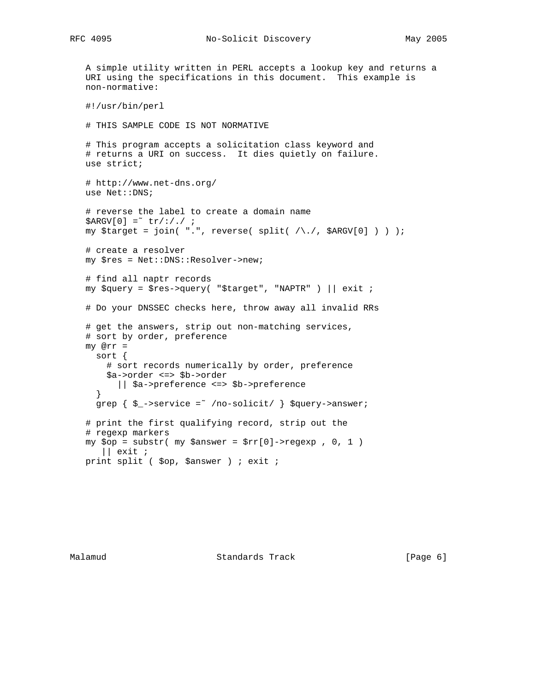```
 A simple utility written in PERL accepts a lookup key and returns a
 URI using the specifications in this document. This example is
 non-normative:
 #!/usr/bin/perl
 # THIS SAMPLE CODE IS NOT NORMATIVE
 # This program accepts a solicitation class keyword and
 # returns a URI on success. It dies quietly on failure.
 use strict;
 # http://www.net-dns.org/
 use Net::DNS;
 # reverse the label to create a domain name
$ARGV[0] = "tr/://./ / imy $target = join( ".", reverse( split( /\./, $ARGV[0] ) ) );
 # create a resolver
 my $res = Net::DNS::Resolver->new;
 # find all naptr records
my \gamma = \frac{\gamma}{2} = \gamma = \gamma = \gamma = \gamma = \gamma = \gamma = \gamma = \gamma = \gamma = \gamma = \gamma = \gamma = \gamma = \gamma = \gamma = \gamma = \gamma = \gamma = \gamma = \gamma = \gamma = \gamma = \gamma = \gamma = \gamma = \gamma = \gamma = \gamma = \gamma = 
 # Do your DNSSEC checks here, throw away all invalid RRs
 # get the answers, strip out non-matching services,
 # sort by order, preference
 my @rr =
   sort {
     # sort records numerically by order, preference
      $a->order <=> $b->order
        || $a->preference <=> $b->preference
   }
  grep \{ \xi ->service =~ /no-solicit/ \} $query->answer;
 # print the first qualifying record, strip out the
 # regexp markers
my $op = substr( my <i>San</i> <i>str</i>[0]-<i>re</i> <i>ge</i> <i>xp</i> , 0, 1 )|| exit i print split ( $op, $answer ) ; exit ;
```
Malamud Standards Track [Page 6]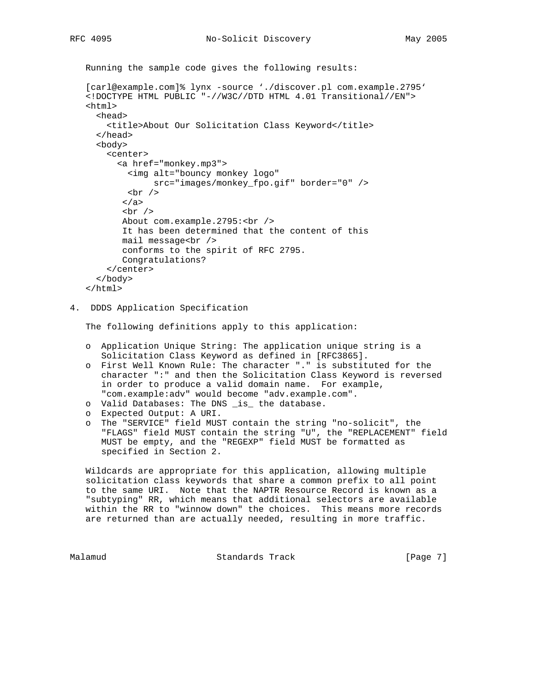Running the sample code gives the following results:

```
 [carl@example.com]% lynx -source './discover.pl com.example.2795'
 <!DOCTYPE HTML PUBLIC "-//W3C//DTD HTML 4.01 Transitional//EN">
 <html>
   <head>
     <title>About Our Solicitation Class Keyword</title>
   </head>
   <body>
     <center>
       <a href="monkey.mp3">
         <img alt="bouncy monkey logo"
              src="images/monkey_fpo.gif" border="0" />
        br />
        </a>
       br />
       About com.example.2795:<br />
        It has been determined that the content of this
       mail message<br />
        conforms to the spirit of RFC 2795.
        Congratulations?
     </center>
   </body>
```

```
 </html>
```
4. DDDS Application Specification

The following definitions apply to this application:

- o Application Unique String: The application unique string is a Solicitation Class Keyword as defined in [RFC3865].
- o First Well Known Rule: The character "." is substituted for the character ":" and then the Solicitation Class Keyword is reversed in order to produce a valid domain name. For example, "com.example:adv" would become "adv.example.com".
- o Valid Databases: The DNS \_is\_ the database.
- o Expected Output: A URI.
- o The "SERVICE" field MUST contain the string "no-solicit", the "FLAGS" field MUST contain the string "U", the "REPLACEMENT" field MUST be empty, and the "REGEXP" field MUST be formatted as specified in Section 2.

 Wildcards are appropriate for this application, allowing multiple solicitation class keywords that share a common prefix to all point to the same URI. Note that the NAPTR Resource Record is known as a "subtyping" RR, which means that additional selectors are available within the RR to "winnow down" the choices. This means more records are returned than are actually needed, resulting in more traffic.

Malamud **Standards Track** 1996 [Page 7]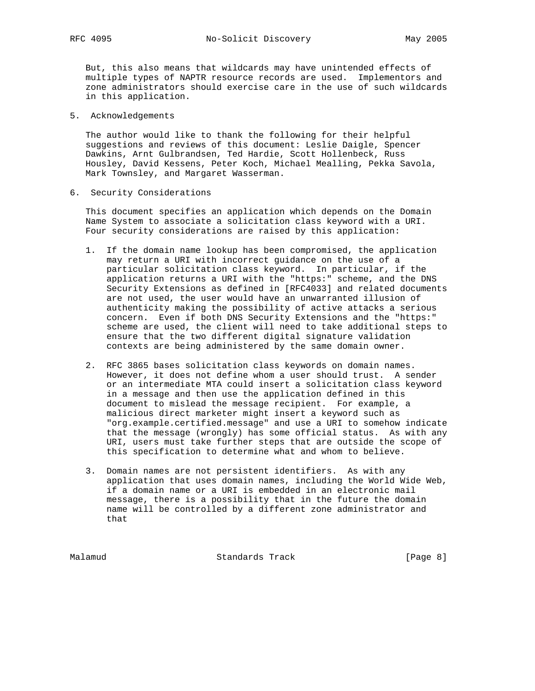But, this also means that wildcards may have unintended effects of multiple types of NAPTR resource records are used. Implementors and zone administrators should exercise care in the use of such wildcards in this application.

5. Acknowledgements

 The author would like to thank the following for their helpful suggestions and reviews of this document: Leslie Daigle, Spencer Dawkins, Arnt Gulbrandsen, Ted Hardie, Scott Hollenbeck, Russ Housley, David Kessens, Peter Koch, Michael Mealling, Pekka Savola, Mark Townsley, and Margaret Wasserman.

6. Security Considerations

 This document specifies an application which depends on the Domain Name System to associate a solicitation class keyword with a URI. Four security considerations are raised by this application:

- 1. If the domain name lookup has been compromised, the application may return a URI with incorrect guidance on the use of a particular solicitation class keyword. In particular, if the application returns a URI with the "https:" scheme, and the DNS Security Extensions as defined in [RFC4033] and related documents are not used, the user would have an unwarranted illusion of authenticity making the possibility of active attacks a serious concern. Even if both DNS Security Extensions and the "https:" scheme are used, the client will need to take additional steps to ensure that the two different digital signature validation contexts are being administered by the same domain owner.
- 2. RFC 3865 bases solicitation class keywords on domain names. However, it does not define whom a user should trust. A sender or an intermediate MTA could insert a solicitation class keyword in a message and then use the application defined in this document to mislead the message recipient. For example, a malicious direct marketer might insert a keyword such as "org.example.certified.message" and use a URI to somehow indicate that the message (wrongly) has some official status. As with any URI, users must take further steps that are outside the scope of this specification to determine what and whom to believe.
- 3. Domain names are not persistent identifiers. As with any application that uses domain names, including the World Wide Web, if a domain name or a URI is embedded in an electronic mail message, there is a possibility that in the future the domain name will be controlled by a different zone administrator and that

Malamud Standards Track [Page 8]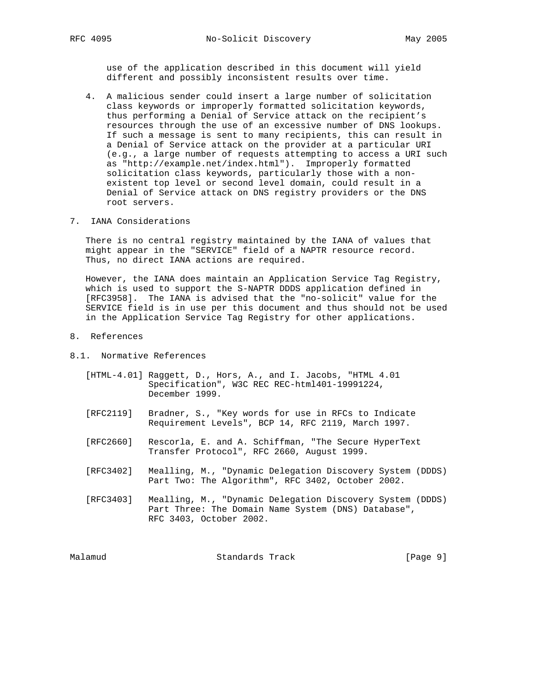use of the application described in this document will yield different and possibly inconsistent results over time.

- 4. A malicious sender could insert a large number of solicitation class keywords or improperly formatted solicitation keywords, thus performing a Denial of Service attack on the recipient's resources through the use of an excessive number of DNS lookups. If such a message is sent to many recipients, this can result in a Denial of Service attack on the provider at a particular URI (e.g., a large number of requests attempting to access a URI such as "http://example.net/index.html"). Improperly formatted solicitation class keywords, particularly those with a non existent top level or second level domain, could result in a Denial of Service attack on DNS registry providers or the DNS root servers.
- 7. IANA Considerations

 There is no central registry maintained by the IANA of values that might appear in the "SERVICE" field of a NAPTR resource record. Thus, no direct IANA actions are required.

 However, the IANA does maintain an Application Service Tag Registry, which is used to support the S-NAPTR DDDS application defined in [RFC3958]. The IANA is advised that the "no-solicit" value for the SERVICE field is in use per this document and thus should not be used in the Application Service Tag Registry for other applications.

- 8. References
- 8.1. Normative References
	- [HTML-4.01] Raggett, D., Hors, A., and I. Jacobs, "HTML 4.01 Specification", W3C REC REC-html401-19991224, December 1999.
	- [RFC2119] Bradner, S., "Key words for use in RFCs to Indicate Requirement Levels", BCP 14, RFC 2119, March 1997.
	- [RFC2660] Rescorla, E. and A. Schiffman, "The Secure HyperText Transfer Protocol", RFC 2660, August 1999.
	- [RFC3402] Mealling, M., "Dynamic Delegation Discovery System (DDDS) Part Two: The Algorithm", RFC 3402, October 2002.
	- [RFC3403] Mealling, M., "Dynamic Delegation Discovery System (DDDS) Part Three: The Domain Name System (DNS) Database", RFC 3403, October 2002.

Malamud **Standards Track** [Page 9]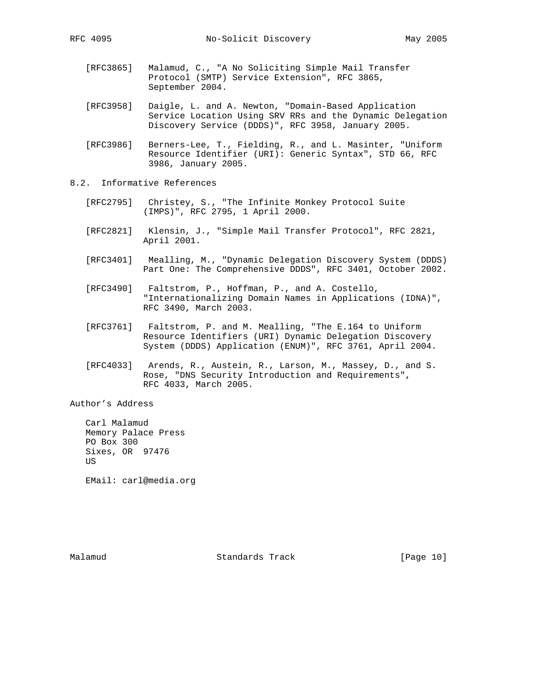- - [RFC3865] Malamud, C., "A No Soliciting Simple Mail Transfer Protocol (SMTP) Service Extension", RFC 3865, September 2004.
	- [RFC3958] Daigle, L. and A. Newton, "Domain-Based Application Service Location Using SRV RRs and the Dynamic Delegation Discovery Service (DDDS)", RFC 3958, January 2005.
	- [RFC3986] Berners-Lee, T., Fielding, R., and L. Masinter, "Uniform Resource Identifier (URI): Generic Syntax", STD 66, RFC 3986, January 2005.
- 8.2. Informative References
	- [RFC2795] Christey, S., "The Infinite Monkey Protocol Suite (IMPS)", RFC 2795, 1 April 2000.
	- [RFC2821] Klensin, J., "Simple Mail Transfer Protocol", RFC 2821, April 2001.
	- [RFC3401] Mealling, M., "Dynamic Delegation Discovery System (DDDS) Part One: The Comprehensive DDDS", RFC 3401, October 2002.
	- [RFC3490] Faltstrom, P., Hoffman, P., and A. Costello, "Internationalizing Domain Names in Applications (IDNA)", RFC 3490, March 2003.
	- [RFC3761] Faltstrom, P. and M. Mealling, "The E.164 to Uniform Resource Identifiers (URI) Dynamic Delegation Discovery System (DDDS) Application (ENUM)", RFC 3761, April 2004.
	- [RFC4033] Arends, R., Austein, R., Larson, M., Massey, D., and S. Rose, "DNS Security Introduction and Requirements", RFC 4033, March 2005.

Author's Address

 Carl Malamud Memory Palace Press PO Box 300 Sixes, OR 97476 US

EMail: carl@media.org

Malamud Standards Track [Page 10]